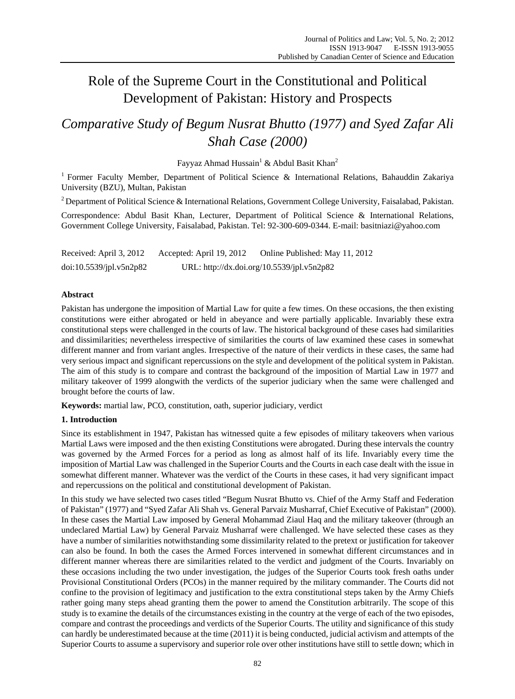# Role of the Supreme Court in the Constitutional and Political Development of Pakistan: History and Prospects

# *Comparative Study of Begum Nusrat Bhutto (1977) and Syed Zafar Ali Shah Case (2000)*

Fayyaz Ahmad Hussain $^1$  & Abdul Basit Khan<sup>2</sup>

<sup>1</sup> Former Faculty Member, Department of Political Science & International Relations, Bahauddin Zakariya University (BZU), Multan, Pakistan

<sup>2</sup> Department of Political Science & International Relations, Government College University, Faisalabad, Pakistan.

Correspondence: Abdul Basit Khan, Lecturer, Department of Political Science & International Relations, Government College University, Faisalabad, Pakistan. Tel: 92-300-609-0344. E-mail: basitniazi@yahoo.com

Received: April 3, 2012 Accepted: April 19, 2012 Online Published: May 11, 2012 doi:10.5539/jpl.v5n2p82 URL: http://dx.doi.org/10.5539/jpl.v5n2p82

# **Abstract**

Pakistan has undergone the imposition of Martial Law for quite a few times. On these occasions, the then existing constitutions were either abrogated or held in abeyance and were partially applicable. Invariably these extra constitutional steps were challenged in the courts of law. The historical background of these cases had similarities and dissimilarities; nevertheless irrespective of similarities the courts of law examined these cases in somewhat different manner and from variant angles. Irrespective of the nature of their verdicts in these cases, the same had very serious impact and significant repercussions on the style and development of the political system in Pakistan. The aim of this study is to compare and contrast the background of the imposition of Martial Law in 1977 and military takeover of 1999 alongwith the verdicts of the superior judiciary when the same were challenged and brought before the courts of law.

**Keywords:** martial law, PCO, constitution, oath, superior judiciary, verdict

# **1. Introduction**

Since its establishment in 1947, Pakistan has witnessed quite a few episodes of military takeovers when various Martial Laws were imposed and the then existing Constitutions were abrogated. During these intervals the country was governed by the Armed Forces for a period as long as almost half of its life. Invariably every time the imposition of Martial Law was challenged in the Superior Courts and the Courts in each case dealt with the issue in somewhat different manner. Whatever was the verdict of the Courts in these cases, it had very significant impact and repercussions on the political and constitutional development of Pakistan.

In this study we have selected two cases titled "Begum Nusrat Bhutto vs. Chief of the Army Staff and Federation of Pakistan" (1977) and "Syed Zafar Ali Shah vs. General Parvaiz Musharraf, Chief Executive of Pakistan" (2000). In these cases the Martial Law imposed by General Mohammad Ziaul Haq and the military takeover (through an undeclared Martial Law) by General Parvaiz Musharraf were challenged. We have selected these cases as they have a number of similarities notwithstanding some dissimilarity related to the pretext or justification for takeover can also be found. In both the cases the Armed Forces intervened in somewhat different circumstances and in different manner whereas there are similarities related to the verdict and judgment of the Courts. Invariably on these occasions including the two under investigation, the judges of the Superior Courts took fresh oaths under Provisional Constitutional Orders (PCOs) in the manner required by the military commander. The Courts did not confine to the provision of legitimacy and justification to the extra constitutional steps taken by the Army Chiefs rather going many steps ahead granting them the power to amend the Constitution arbitrarily. The scope of this study is to examine the details of the circumstances existing in the country at the verge of each of the two episodes, compare and contrast the proceedings and verdicts of the Superior Courts. The utility and significance of this study can hardly be underestimated because at the time (2011) it is being conducted, judicial activism and attempts of the Superior Courts to assume a supervisory and superior role over other institutions have still to settle down; which in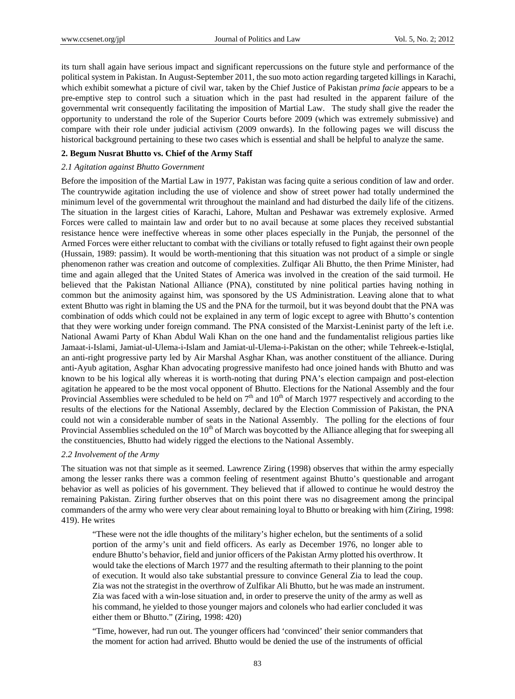its turn shall again have serious impact and significant repercussions on the future style and performance of the political system in Pakistan. In August-September 2011, the suo moto action regarding targeted killings in Karachi, which exhibit somewhat a picture of civil war, taken by the Chief Justice of Pakistan *prima facie* appears to be a pre-emptive step to control such a situation which in the past had resulted in the apparent failure of the governmental writ consequently facilitating the imposition of Martial Law. The study shall give the reader the opportunity to understand the role of the Superior Courts before 2009 (which was extremely submissive) and compare with their role under judicial activism (2009 onwards). In the following pages we will discuss the historical background pertaining to these two cases which is essential and shall be helpful to analyze the same.

## **2. Begum Nusrat Bhutto vs. Chief of the Army Staff**

#### *2.1 Agitation against Bhutto Government*

Before the imposition of the Martial Law in 1977, Pakistan was facing quite a serious condition of law and order. The countrywide agitation including the use of violence and show of street power had totally undermined the minimum level of the governmental writ throughout the mainland and had disturbed the daily life of the citizens. The situation in the largest cities of Karachi, Lahore, Multan and Peshawar was extremely explosive. Armed Forces were called to maintain law and order but to no avail because at some places they received substantial resistance hence were ineffective whereas in some other places especially in the Punjab, the personnel of the Armed Forces were either reluctant to combat with the civilians or totally refused to fight against their own people (Hussain, 1989: passim). It would be worth-mentioning that this situation was not product of a simple or single phenomenon rather was creation and outcome of complexities. Zulfiqar Ali Bhutto, the then Prime Minister, had time and again alleged that the United States of America was involved in the creation of the said turmoil. He believed that the Pakistan National Alliance (PNA), constituted by nine political parties having nothing in common but the animosity against him, was sponsored by the US Administration. Leaving alone that to what extent Bhutto was right in blaming the US and the PNA for the turmoil, but it was beyond doubt that the PNA was combination of odds which could not be explained in any term of logic except to agree with Bhutto's contention that they were working under foreign command. The PNA consisted of the Marxist-Leninist party of the left i.e. National Awami Party of Khan Abdul Wali Khan on the one hand and the fundamentalist religious parties like Jamaat-i-Islami, Jamiat-ul-Ulema-i-Islam and Jamiat-ul-Ulema-i-Pakistan on the other; while Tehreek-e-Istiqlal, an anti-right progressive party led by Air Marshal Asghar Khan, was another constituent of the alliance. During anti-Ayub agitation, Asghar Khan advocating progressive manifesto had once joined hands with Bhutto and was known to be his logical ally whereas it is worth-noting that during PNA's election campaign and post-election agitation he appeared to be the most vocal opponent of Bhutto. Elections for the National Assembly and the four Provincial Assemblies were scheduled to be held on  $7<sup>th</sup>$  and  $10<sup>th</sup>$  of March 1977 respectively and according to the results of the elections for the National Assembly, declared by the Election Commission of Pakistan, the PNA could not win a considerable number of seats in the National Assembly. The polling for the elections of four Provincial Assemblies scheduled on the  $10<sup>th</sup>$  of March was boycotted by the Alliance alleging that for sweeping all the constituencies, Bhutto had widely rigged the elections to the National Assembly.

#### *2.2 Involvement of the Army*

The situation was not that simple as it seemed. Lawrence Ziring (1998) observes that within the army especially among the lesser ranks there was a common feeling of resentment against Bhutto's questionable and arrogant behavior as well as policies of his government. They believed that if allowed to continue he would destroy the remaining Pakistan. Ziring further observes that on this point there was no disagreement among the principal commanders of the army who were very clear about remaining loyal to Bhutto or breaking with him (Ziring, 1998: 419). He writes

"These were not the idle thoughts of the military's higher echelon, but the sentiments of a solid portion of the army's unit and field officers. As early as December 1976, no longer able to endure Bhutto's behavior, field and junior officers of the Pakistan Army plotted his overthrow. It would take the elections of March 1977 and the resulting aftermath to their planning to the point of execution. It would also take substantial pressure to convince General Zia to lead the coup. Zia was not the strategist in the overthrow of Zulfikar Ali Bhutto, but he was made an instrument. Zia was faced with a win-lose situation and, in order to preserve the unity of the army as well as his command, he yielded to those younger majors and colonels who had earlier concluded it was either them or Bhutto." (Ziring, 1998: 420)

"Time, however, had run out. The younger officers had 'convinced' their senior commanders that the moment for action had arrived. Bhutto would be denied the use of the instruments of official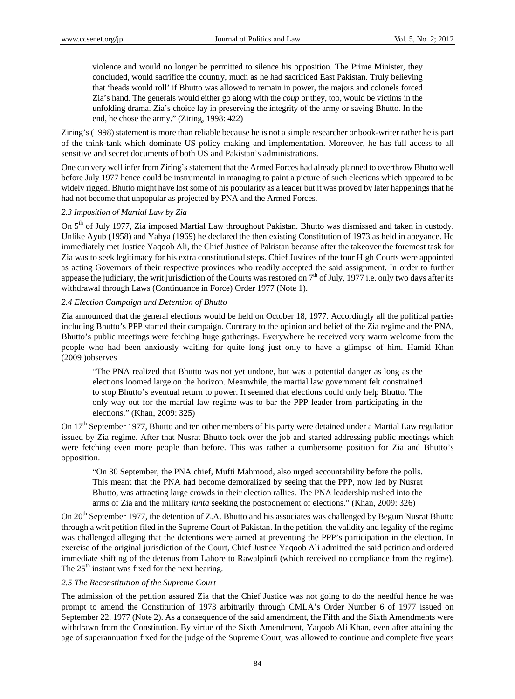violence and would no longer be permitted to silence his opposition. The Prime Minister, they concluded, would sacrifice the country, much as he had sacrificed East Pakistan. Truly believing that 'heads would roll' if Bhutto was allowed to remain in power, the majors and colonels forced Zia's hand. The generals would either go along with the *coup* or they, too, would be victims in the unfolding drama. Zia's choice lay in preserving the integrity of the army or saving Bhutto. In the end, he chose the army." (Ziring, 1998: 422)

Ziring's (1998) statement is more than reliable because he is not a simple researcher or book-writer rather he is part of the think-tank which dominate US policy making and implementation. Moreover, he has full access to all sensitive and secret documents of both US and Pakistan's administrations.

One can very well infer from Ziring's statement that the Armed Forces had already planned to overthrow Bhutto well before July 1977 hence could be instrumental in managing to paint a picture of such elections which appeared to be widely rigged. Bhutto might have lost some of his popularity as a leader but it was proved by later happenings that he had not become that unpopular as projected by PNA and the Armed Forces.

# *2.3 Imposition of Martial Law by Zia*

On 5th of July 1977, Zia imposed Martial Law throughout Pakistan. Bhutto was dismissed and taken in custody. Unlike Ayub (1958) and Yahya (1969) he declared the then existing Constitution of 1973 as held in abeyance. He immediately met Justice Yaqoob Ali, the Chief Justice of Pakistan because after the takeover the foremost task for Zia was to seek legitimacy for his extra constitutional steps. Chief Justices of the four High Courts were appointed as acting Governors of their respective provinces who readily accepted the said assignment. In order to further appease the judiciary, the writ jurisdiction of the Courts was restored on  $7<sup>th</sup>$  of July, 1977 i.e. only two days after its withdrawal through Laws (Continuance in Force) Order 1977 (Note 1).

# *2.4 Election Campaign and Detention of Bhutto*

Zia announced that the general elections would be held on October 18, 1977. Accordingly all the political parties including Bhutto's PPP started their campaign. Contrary to the opinion and belief of the Zia regime and the PNA, Bhutto's public meetings were fetching huge gatherings. Everywhere he received very warm welcome from the people who had been anxiously waiting for quite long just only to have a glimpse of him. Hamid Khan (2009 )observes

"The PNA realized that Bhutto was not yet undone, but was a potential danger as long as the elections loomed large on the horizon. Meanwhile, the martial law government felt constrained to stop Bhutto's eventual return to power. It seemed that elections could only help Bhutto. The only way out for the martial law regime was to bar the PPP leader from participating in the elections." (Khan, 2009: 325)

On 17<sup>th</sup> September 1977, Bhutto and ten other members of his party were detained under a Martial Law regulation issued by Zia regime. After that Nusrat Bhutto took over the job and started addressing public meetings which were fetching even more people than before. This was rather a cumbersome position for Zia and Bhutto's opposition.

"On 30 September, the PNA chief, Mufti Mahmood, also urged accountability before the polls. This meant that the PNA had become demoralized by seeing that the PPP, now led by Nusrat Bhutto, was attracting large crowds in their election rallies. The PNA leadership rushed into the arms of Zia and the military *junta* seeking the postponement of elections." (Khan, 2009: 326)

On 20<sup>th</sup> September 1977, the detention of Z.A. Bhutto and his associates was challenged by Begum Nusrat Bhutto through a writ petition filed in the Supreme Court of Pakistan. In the petition, the validity and legality of the regime was challenged alleging that the detentions were aimed at preventing the PPP's participation in the election. In exercise of the original jurisdiction of the Court, Chief Justice Yaqoob Ali admitted the said petition and ordered immediate shifting of the detenus from Lahore to Rawalpindi (which received no compliance from the regime). The  $25<sup>th</sup>$  instant was fixed for the next hearing.

# *2.5 The Reconstitution of the Supreme Court*

The admission of the petition assured Zia that the Chief Justice was not going to do the needful hence he was prompt to amend the Constitution of 1973 arbitrarily through CMLA's Order Number 6 of 1977 issued on September 22, 1977 (Note 2). As a consequence of the said amendment, the Fifth and the Sixth Amendments were withdrawn from the Constitution. By virtue of the Sixth Amendment, Yaqoob Ali Khan, even after attaining the age of superannuation fixed for the judge of the Supreme Court, was allowed to continue and complete five years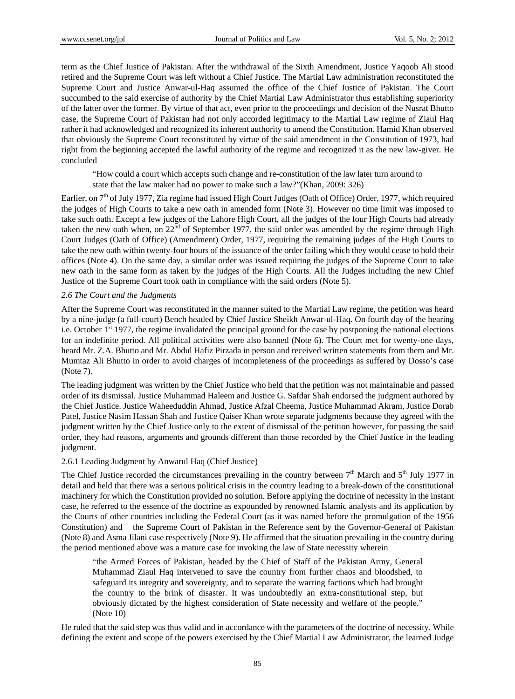term as the Chief Justice of Pakistan. After the withdrawal of the Sixth Amendment, Justice Yaqoob Ali stood retired and the Supreme Court was left without a Chief Justice. The Martial Law administration reconstituted the Supreme Court and Justice Anwar-ul-Haq assumed the office of the Chief Justice of Pakistan. The Court succumbed to the said exercise of authority by the Chief Martial Law Administrator thus establishing superiority of the latter over the former. By virtue of that act, even prior to the proceedings and decision of the Nusrat Bhutto case, the Supreme Court of Pakistan had not only accorded legitimacy to the Martial Law regime of Ziaul Haq rather it had acknowledged and recognized its inherent authority to amend the Constitution. Hamid Khan observed that obviously the Supreme Court reconstituted by virtue of the said amendment in the Constitution of 1973, had right from the beginning accepted the lawful authority of the regime and recognized it as the new law-giver. He concluded

"How could a court which accepts such change and re-constitution of the law later turn around to state that the law maker had no power to make such a law?"(Khan, 2009: 326)

Earlier, on 7<sup>th</sup> of July 1977, Zia regime had issued High Court Judges (Oath of Office) Order, 1977, which required the judges of High Courts to take a new oath in amended form (Note 3). However no time limit was imposed to take such oath. Except a few judges of the Lahore High Court, all the judges of the four High Courts had already taken the new oath when, on  $22<sup>nd</sup>$  of September 1977, the said order was amended by the regime through High Court Judges (Oath of Office) (Amendment) Order, 1977, requiring the remaining judges of the High Courts to take the new oath within twenty-four hours of the issuance of the order failing which they would cease to hold their offices (Note 4). On the same day, a similar order was issued requiring the judges of the Supreme Court to take new oath in the same form as taken by the judges of the High Courts. All the Judges including the new Chief Justice of the Supreme Court took oath in compliance with the said orders (Note 5).

# *2.6 The Court and the Judgments*

After the Supreme Court was reconstituted in the manner suited to the Martial Law regime, the petition was heard by a nine-judge (a full-court) Bench headed by Chief Justice Sheikh Anwar-ul-Haq. On fourth day of the hearing i.e. October  $1<sup>st</sup>$  1977, the regime invalidated the principal ground for the case by postponing the national elections for an indefinite period. All political activities were also banned (Note 6). The Court met for twenty-one days, heard Mr. Z.A. Bhutto and Mr. Abdul Hafiz Pirzada in person and received written statements from them and Mr. Mumtaz Ali Bhutto in order to avoid charges of incompleteness of the proceedings as suffered by Dosso's case (Note 7).

The leading judgment was written by the Chief Justice who held that the petition was not maintainable and passed order of its dismissal. Justice Muhammad Haleem and Justice G. Safdar Shah endorsed the judgment authored by the Chief Justice. Justice Waheeduddin Ahmad, Justice Afzal Cheema, Justice Muhammad Akram, Justice Dorab Patel, Justice Nasim Hassan Shah and Justice Qaiser Khan wrote separate judgments because they agreed with the judgment written by the Chief Justice only to the extent of dismissal of the petition however, for passing the said order, they had reasons, arguments and grounds different than those recorded by the Chief Justice in the leading judgment.

# 2.6.1 Leading Judgment by Anwarul Haq (Chief Justice)

The Chief Justice recorded the circumstances prevailing in the country between  $7<sup>th</sup>$  March and  $5<sup>th</sup>$  July 1977 in detail and held that there was a serious political crisis in the country leading to a break-down of the constitutional machinery for which the Constitution provided no solution. Before applying the doctrine of necessity in the instant case, he referred to the essence of the doctrine as expounded by renowned Islamic analysts and its application by the Courts of other countries including the Federal Court (as it was named before the promulgation of the 1956 Constitution) and the Supreme Court of Pakistan in the Reference sent by the Governor-General of Pakistan (Note 8) and Asma Jilani case respectively (Note 9). He affirmed that the situation prevailing in the country during the period mentioned above was a mature case for invoking the law of State necessity wherein

"the Armed Forces of Pakistan, headed by the Chief of Staff of the Pakistan Army, General Muhammad Ziaul Haq intervened to save the country from further chaos and bloodshed, to safeguard its integrity and sovereignty, and to separate the warring factions which had brought the country to the brink of disaster. It was undoubtedly an extra-constitutional step, but obviously dictated by the highest consideration of State necessity and welfare of the people." (Note 10)

He ruled that the said step was thus valid and in accordance with the parameters of the doctrine of necessity. While defining the extent and scope of the powers exercised by the Chief Martial Law Administrator, the learned Judge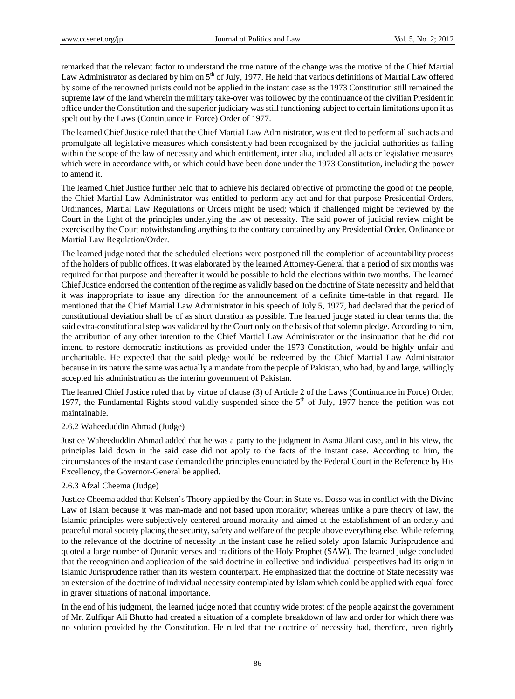remarked that the relevant factor to understand the true nature of the change was the motive of the Chief Martial Law Administrator as declared by him on  $5<sup>th</sup>$  of July, 1977. He held that various definitions of Martial Law offered by some of the renowned jurists could not be applied in the instant case as the 1973 Constitution still remained the supreme law of the land wherein the military take-over was followed by the continuance of the civilian President in office under the Constitution and the superior judiciary was still functioning subject to certain limitations upon it as spelt out by the Laws (Continuance in Force) Order of 1977.

The learned Chief Justice ruled that the Chief Martial Law Administrator, was entitled to perform all such acts and promulgate all legislative measures which consistently had been recognized by the judicial authorities as falling within the scope of the law of necessity and which entitlement, inter alia, included all acts or legislative measures which were in accordance with, or which could have been done under the 1973 Constitution, including the power to amend it.

The learned Chief Justice further held that to achieve his declared objective of promoting the good of the people, the Chief Martial Law Administrator was entitled to perform any act and for that purpose Presidential Orders, Ordinances, Martial Law Regulations or Orders might be used; which if challenged might be reviewed by the Court in the light of the principles underlying the law of necessity. The said power of judicial review might be exercised by the Court notwithstanding anything to the contrary contained by any Presidential Order, Ordinance or Martial Law Regulation/Order.

The learned judge noted that the scheduled elections were postponed till the completion of accountability process of the holders of public offices. It was elaborated by the learned Attorney-General that a period of six months was required for that purpose and thereafter it would be possible to hold the elections within two months. The learned Chief Justice endorsed the contention of the regime as validly based on the doctrine of State necessity and held that it was inappropriate to issue any direction for the announcement of a definite time-table in that regard. He mentioned that the Chief Martial Law Administrator in his speech of July 5, 1977, had declared that the period of constitutional deviation shall be of as short duration as possible. The learned judge stated in clear terms that the said extra-constitutional step was validated by the Court only on the basis of that solemn pledge. According to him, the attribution of any other intention to the Chief Martial Law Administrator or the insinuation that he did not intend to restore democratic institutions as provided under the 1973 Constitution, would be highly unfair and uncharitable. He expected that the said pledge would be redeemed by the Chief Martial Law Administrator because in its nature the same was actually a mandate from the people of Pakistan, who had, by and large, willingly accepted his administration as the interim government of Pakistan.

The learned Chief Justice ruled that by virtue of clause (3) of Article 2 of the Laws (Continuance in Force) Order, 1977, the Fundamental Rights stood validly suspended since the  $5<sup>th</sup>$  of July, 1977 hence the petition was not maintainable.

# 2.6.2 Waheeduddin Ahmad (Judge)

Justice Waheeduddin Ahmad added that he was a party to the judgment in Asma Jilani case, and in his view, the principles laid down in the said case did not apply to the facts of the instant case. According to him, the circumstances of the instant case demanded the principles enunciated by the Federal Court in the Reference by His Excellency, the Governor-General be applied.

# 2.6.3 Afzal Cheema (Judge)

Justice Cheema added that Kelsen's Theory applied by the Court in State vs. Dosso was in conflict with the Divine Law of Islam because it was man-made and not based upon morality; whereas unlike a pure theory of law, the Islamic principles were subjectively centered around morality and aimed at the establishment of an orderly and peaceful moral society placing the security, safety and welfare of the people above everything else. While referring to the relevance of the doctrine of necessity in the instant case he relied solely upon Islamic Jurisprudence and quoted a large number of Quranic verses and traditions of the Holy Prophet (SAW). The learned judge concluded that the recognition and application of the said doctrine in collective and individual perspectives had its origin in Islamic Jurisprudence rather than its western counterpart. He emphasized that the doctrine of State necessity was an extension of the doctrine of individual necessity contemplated by Islam which could be applied with equal force in graver situations of national importance.

In the end of his judgment, the learned judge noted that country wide protest of the people against the government of Mr. Zulfiqar Ali Bhutto had created a situation of a complete breakdown of law and order for which there was no solution provided by the Constitution. He ruled that the doctrine of necessity had, therefore, been rightly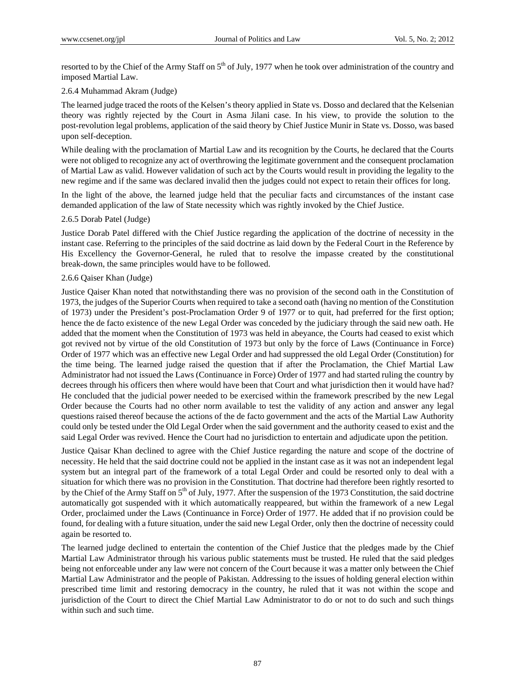resorted to by the Chief of the Army Staff on  $5<sup>th</sup>$  of July, 1977 when he took over administration of the country and imposed Martial Law.

## 2.6.4 Muhammad Akram (Judge)

The learned judge traced the roots of the Kelsen's theory applied in State vs. Dosso and declared that the Kelsenian theory was rightly rejected by the Court in Asma Jilani case. In his view, to provide the solution to the post-revolution legal problems, application of the said theory by Chief Justice Munir in State vs. Dosso, was based upon self-deception.

While dealing with the proclamation of Martial Law and its recognition by the Courts, he declared that the Courts were not obliged to recognize any act of overthrowing the legitimate government and the consequent proclamation of Martial Law as valid. However validation of such act by the Courts would result in providing the legality to the new regime and if the same was declared invalid then the judges could not expect to retain their offices for long.

In the light of the above, the learned judge held that the peculiar facts and circumstances of the instant case demanded application of the law of State necessity which was rightly invoked by the Chief Justice.

## 2.6.5 Dorab Patel (Judge)

Justice Dorab Patel differed with the Chief Justice regarding the application of the doctrine of necessity in the instant case. Referring to the principles of the said doctrine as laid down by the Federal Court in the Reference by His Excellency the Governor-General, he ruled that to resolve the impasse created by the constitutional break-down, the same principles would have to be followed.

## 2.6.6 Qaiser Khan (Judge)

Justice Qaiser Khan noted that notwithstanding there was no provision of the second oath in the Constitution of 1973, the judges of the Superior Courts when required to take a second oath (having no mention of the Constitution of 1973) under the President's post-Proclamation Order 9 of 1977 or to quit, had preferred for the first option; hence the de facto existence of the new Legal Order was conceded by the judiciary through the said new oath. He added that the moment when the Constitution of 1973 was held in abeyance, the Courts had ceased to exist which got revived not by virtue of the old Constitution of 1973 but only by the force of Laws (Continuance in Force) Order of 1977 which was an effective new Legal Order and had suppressed the old Legal Order (Constitution) for the time being. The learned judge raised the question that if after the Proclamation, the Chief Martial Law Administrator had not issued the Laws (Continuance in Force) Order of 1977 and had started ruling the country by decrees through his officers then where would have been that Court and what jurisdiction then it would have had? He concluded that the judicial power needed to be exercised within the framework prescribed by the new Legal Order because the Courts had no other norm available to test the validity of any action and answer any legal questions raised thereof because the actions of the de facto government and the acts of the Martial Law Authority could only be tested under the Old Legal Order when the said government and the authority ceased to exist and the said Legal Order was revived. Hence the Court had no jurisdiction to entertain and adjudicate upon the petition.

Justice Qaisar Khan declined to agree with the Chief Justice regarding the nature and scope of the doctrine of necessity. He held that the said doctrine could not be applied in the instant case as it was not an independent legal system but an integral part of the framework of a total Legal Order and could be resorted only to deal with a situation for which there was no provision in the Constitution. That doctrine had therefore been rightly resorted to by the Chief of the Army Staff on 5<sup>th</sup> of July, 1977. After the suspension of the 1973 Constitution, the said doctrine automatically got suspended with it which automatically reappeared, but within the framework of a new Legal Order, proclaimed under the Laws (Continuance in Force) Order of 1977. He added that if no provision could be found, for dealing with a future situation, under the said new Legal Order, only then the doctrine of necessity could again be resorted to.

The learned judge declined to entertain the contention of the Chief Justice that the pledges made by the Chief Martial Law Administrator through his various public statements must be trusted. He ruled that the said pledges being not enforceable under any law were not concern of the Court because it was a matter only between the Chief Martial Law Administrator and the people of Pakistan. Addressing to the issues of holding general election within prescribed time limit and restoring democracy in the country, he ruled that it was not within the scope and jurisdiction of the Court to direct the Chief Martial Law Administrator to do or not to do such and such things within such and such time.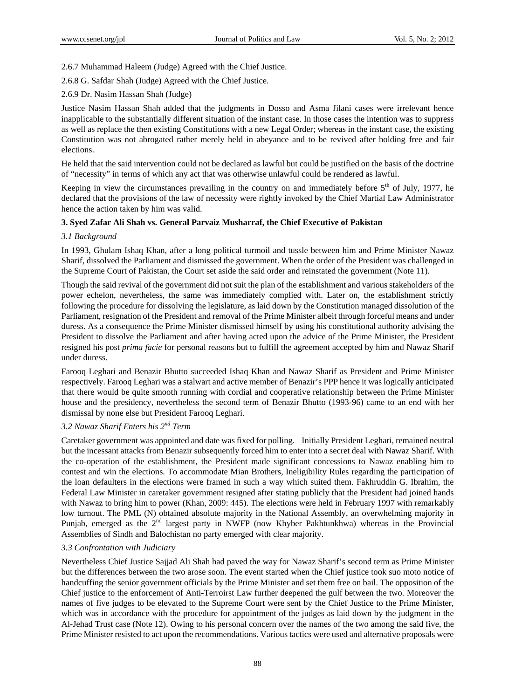2.6.7 Muhammad Haleem (Judge) Agreed with the Chief Justice.

2.6.8 G. Safdar Shah (Judge) Agreed with the Chief Justice.

2.6.9 Dr. Nasim Hassan Shah (Judge)

Justice Nasim Hassan Shah added that the judgments in Dosso and Asma Jilani cases were irrelevant hence inapplicable to the substantially different situation of the instant case. In those cases the intention was to suppress as well as replace the then existing Constitutions with a new Legal Order; whereas in the instant case, the existing Constitution was not abrogated rather merely held in abeyance and to be revived after holding free and fair elections.

He held that the said intervention could not be declared as lawful but could be justified on the basis of the doctrine of "necessity" in terms of which any act that was otherwise unlawful could be rendered as lawful.

Keeping in view the circumstances prevailing in the country on and immediately before  $5<sup>th</sup>$  of July, 1977, he declared that the provisions of the law of necessity were rightly invoked by the Chief Martial Law Administrator hence the action taken by him was valid.

# **3. Syed Zafar Ali Shah vs. General Parvaiz Musharraf, the Chief Executive of Pakistan**

# *3.1 Background*

In 1993, Ghulam Ishaq Khan, after a long political turmoil and tussle between him and Prime Minister Nawaz Sharif, dissolved the Parliament and dismissed the government. When the order of the President was challenged in the Supreme Court of Pakistan, the Court set aside the said order and reinstated the government (Note 11).

Though the said revival of the government did not suit the plan of the establishment and various stakeholders of the power echelon, nevertheless, the same was immediately complied with. Later on, the establishment strictly following the procedure for dissolving the legislature, as laid down by the Constitution managed dissolution of the Parliament, resignation of the President and removal of the Prime Minister albeit through forceful means and under duress. As a consequence the Prime Minister dismissed himself by using his constitutional authority advising the President to dissolve the Parliament and after having acted upon the advice of the Prime Minister, the President resigned his post *prima facie* for personal reasons but to fulfill the agreement accepted by him and Nawaz Sharif under duress.

Farooq Leghari and Benazir Bhutto succeeded Ishaq Khan and Nawaz Sharif as President and Prime Minister respectively. Farooq Leghari was a stalwart and active member of Benazir's PPP hence it was logically anticipated that there would be quite smooth running with cordial and cooperative relationship between the Prime Minister house and the presidency, nevertheless the second term of Benazir Bhutto (1993-96) came to an end with her dismissal by none else but President Farooq Leghari.

# *3.2 Nawaz Sharif Enters his 2nd Term*

Caretaker government was appointed and date was fixed for polling. Initially President Leghari, remained neutral but the incessant attacks from Benazir subsequently forced him to enter into a secret deal with Nawaz Sharif. With the co-operation of the establishment, the President made significant concessions to Nawaz enabling him to contest and win the elections. To accommodate Mian Brothers, Ineligibility Rules regarding the participation of the loan defaulters in the elections were framed in such a way which suited them. Fakhruddin G. Ibrahim, the Federal Law Minister in caretaker government resigned after stating publicly that the President had joined hands with Nawaz to bring him to power (Khan, 2009: 445). The elections were held in February 1997 with remarkably low turnout. The PML (N) obtained absolute majority in the National Assembly, an overwhelming majority in Punjab, emerged as the  $2<sup>nd</sup>$  largest party in NWFP (now Khyber Pakhtunkhwa) whereas in the Provincial Assemblies of Sindh and Balochistan no party emerged with clear majority.

# *3.3 Confrontation with Judiciary*

Nevertheless Chief Justice Sajjad Ali Shah had paved the way for Nawaz Sharif's second term as Prime Minister but the differences between the two arose soon. The event started when the Chief justice took suo moto notice of handcuffing the senior government officials by the Prime Minister and set them free on bail. The opposition of the Chief justice to the enforcement of Anti-Terroirst Law further deepened the gulf between the two. Moreover the names of five judges to be elevated to the Supreme Court were sent by the Chief Justice to the Prime Minister, which was in accordance with the procedure for appointment of the judges as laid down by the judgment in the Al-Jehad Trust case (Note 12). Owing to his personal concern over the names of the two among the said five, the Prime Minister resisted to act upon the recommendations. Various tactics were used and alternative proposals were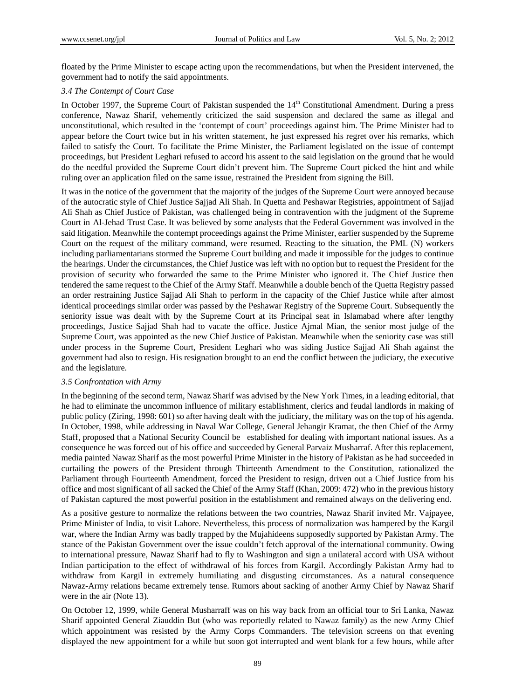floated by the Prime Minister to escape acting upon the recommendations, but when the President intervened, the government had to notify the said appointments.

#### *3.4 The Contempt of Court Case*

In October 1997, the Supreme Court of Pakistan suspended the 14<sup>th</sup> Constitutional Amendment. During a press conference, Nawaz Sharif, vehemently criticized the said suspension and declared the same as illegal and unconstitutional, which resulted in the 'contempt of court' proceedings against him. The Prime Minister had to appear before the Court twice but in his written statement, he just expressed his regret over his remarks, which failed to satisfy the Court. To facilitate the Prime Minister, the Parliament legislated on the issue of contempt proceedings, but President Leghari refused to accord his assent to the said legislation on the ground that he would do the needful provided the Supreme Court didn't prevent him. The Supreme Court picked the hint and while ruling over an application filed on the same issue, restrained the President from signing the Bill.

It was in the notice of the government that the majority of the judges of the Supreme Court were annoyed because of the autocratic style of Chief Justice Sajjad Ali Shah. In Quetta and Peshawar Registries, appointment of Sajjad Ali Shah as Chief Justice of Pakistan, was challenged being in contravention with the judgment of the Supreme Court in Al-Jehad Trust Case. It was believed by some analysts that the Federal Government was involved in the said litigation. Meanwhile the contempt proceedings against the Prime Minister, earlier suspended by the Supreme Court on the request of the military command, were resumed. Reacting to the situation, the PML (N) workers including parliamentarians stormed the Supreme Court building and made it impossible for the judges to continue the hearings. Under the circumstances, the Chief Justice was left with no option but to request the President for the provision of security who forwarded the same to the Prime Minister who ignored it. The Chief Justice then tendered the same request to the Chief of the Army Staff. Meanwhile a double bench of the Quetta Registry passed an order restraining Justice Sajjad Ali Shah to perform in the capacity of the Chief Justice while after almost identical proceedings similar order was passed by the Peshawar Registry of the Supreme Court. Subsequently the seniority issue was dealt with by the Supreme Court at its Principal seat in Islamabad where after lengthy proceedings, Justice Sajjad Shah had to vacate the office. Justice Ajmal Mian, the senior most judge of the Supreme Court, was appointed as the new Chief Justice of Pakistan. Meanwhile when the seniority case was still under process in the Supreme Court, President Leghari who was siding Justice Sajjad Ali Shah against the government had also to resign. His resignation brought to an end the conflict between the judiciary, the executive and the legislature.

#### *3.5 Confrontation with Army*

In the beginning of the second term, Nawaz Sharif was advised by the New York Times, in a leading editorial, that he had to eliminate the uncommon influence of military establishment, clerics and feudal landlords in making of public policy (Ziring, 1998: 601) so after having dealt with the judiciary, the military was on the top of his agenda. In October, 1998, while addressing in Naval War College, General Jehangir Kramat, the then Chief of the Army Staff, proposed that a National Security Council be established for dealing with important national issues. As a consequence he was forced out of his office and succeeded by General Parvaiz Musharraf. After this replacement, media painted Nawaz Sharif as the most powerful Prime Minister in the history of Pakistan as he had succeeded in curtailing the powers of the President through Thirteenth Amendment to the Constitution, rationalized the Parliament through Fourteenth Amendment, forced the President to resign, driven out a Chief Justice from his office and most significant of all sacked the Chief of the Army Staff (Khan, 2009: 472) who in the previous history of Pakistan captured the most powerful position in the establishment and remained always on the delivering end.

As a positive gesture to normalize the relations between the two countries, Nawaz Sharif invited Mr. Vajpayee, Prime Minister of India, to visit Lahore. Nevertheless, this process of normalization was hampered by the Kargil war, where the Indian Army was badly trapped by the Mujahideens supposedly supported by Pakistan Army. The stance of the Pakistan Government over the issue couldn't fetch approval of the international community. Owing to international pressure, Nawaz Sharif had to fly to Washington and sign a unilateral accord with USA without Indian participation to the effect of withdrawal of his forces from Kargil. Accordingly Pakistan Army had to withdraw from Kargil in extremely humiliating and disgusting circumstances. As a natural consequence Nawaz-Army relations became extremely tense. Rumors about sacking of another Army Chief by Nawaz Sharif were in the air (Note 13).

On October 12, 1999, while General Musharraff was on his way back from an official tour to Sri Lanka, Nawaz Sharif appointed General Ziauddin But (who was reportedly related to Nawaz family) as the new Army Chief which appointment was resisted by the Army Corps Commanders. The television screens on that evening displayed the new appointment for a while but soon got interrupted and went blank for a few hours, while after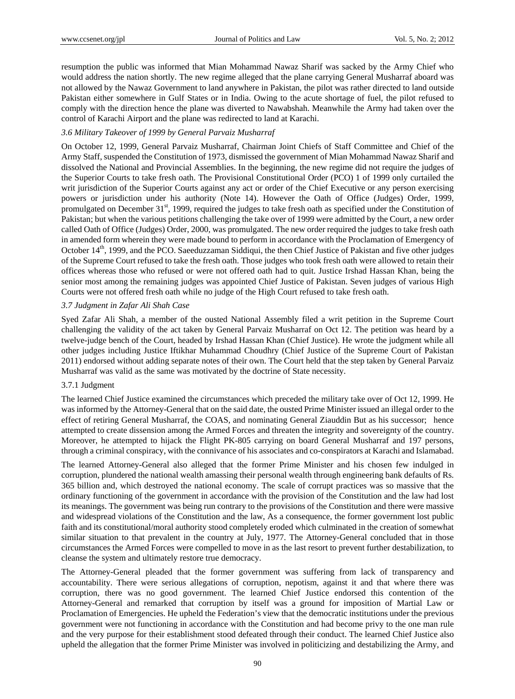resumption the public was informed that Mian Mohammad Nawaz Sharif was sacked by the Army Chief who would address the nation shortly. The new regime alleged that the plane carrying General Musharraf aboard was not allowed by the Nawaz Government to land anywhere in Pakistan, the pilot was rather directed to land outside Pakistan either somewhere in Gulf States or in India. Owing to the acute shortage of fuel, the pilot refused to comply with the direction hence the plane was diverted to Nawabshah. Meanwhile the Army had taken over the control of Karachi Airport and the plane was redirected to land at Karachi.

## *3.6 Military Takeover of 1999 by General Parvaiz Musharraf*

On October 12, 1999, General Parvaiz Musharraf, Chairman Joint Chiefs of Staff Committee and Chief of the Army Staff, suspended the Constitution of 1973, dismissed the government of Mian Mohammad Nawaz Sharif and dissolved the National and Provincial Assemblies. In the beginning, the new regime did not require the judges of the Superior Courts to take fresh oath. The Provisional Constitutional Order (PCO) 1 of 1999 only curtailed the writ jurisdiction of the Superior Courts against any act or order of the Chief Executive or any person exercising powers or jurisdiction under his authority (Note 14). However the Oath of Office (Judges) Order, 1999, promulgated on December 31<sup>st</sup>, 1999, required the judges to take fresh oath as specified under the Constitution of Pakistan; but when the various petitions challenging the take over of 1999 were admitted by the Court, a new order called Oath of Office (Judges) Order, 2000, was promulgated. The new order required the judges to take fresh oath in amended form wherein they were made bound to perform in accordance with the Proclamation of Emergency of October  $14<sup>th</sup>$ , 1999, and the PCO. Saeeduzzaman Siddiqui, the then Chief Justice of Pakistan and five other judges of the Supreme Court refused to take the fresh oath. Those judges who took fresh oath were allowed to retain their offices whereas those who refused or were not offered oath had to quit. Justice Irshad Hassan Khan, being the senior most among the remaining judges was appointed Chief Justice of Pakistan. Seven judges of various High Courts were not offered fresh oath while no judge of the High Court refused to take fresh oath.

#### *3.7 Judgment in Zafar Ali Shah Case*

Syed Zafar Ali Shah, a member of the ousted National Assembly filed a writ petition in the Supreme Court challenging the validity of the act taken by General Parvaiz Musharraf on Oct 12. The petition was heard by a twelve-judge bench of the Court, headed by Irshad Hassan Khan (Chief Justice). He wrote the judgment while all other judges including Justice Iftikhar Muhammad Choudhry (Chief Justice of the Supreme Court of Pakistan 2011) endorsed without adding separate notes of their own. The Court held that the step taken by General Parvaiz Musharraf was valid as the same was motivated by the doctrine of State necessity.

#### 3.7.1 Judgment

The learned Chief Justice examined the circumstances which preceded the military take over of Oct 12, 1999. He was informed by the Attorney-General that on the said date, the ousted Prime Minister issued an illegal order to the effect of retiring General Musharraf, the COAS, and nominating General Ziauddin But as his successor; hence attempted to create dissension among the Armed Forces and threaten the integrity and sovereignty of the country. Moreover, he attempted to hijack the Flight PK-805 carrying on board General Musharraf and 197 persons, through a criminal conspiracy, with the connivance of his associates and co-conspirators at Karachi and Islamabad.

The learned Attorney-General also alleged that the former Prime Minister and his chosen few indulged in corruption, plundered the national wealth amassing their personal wealth through engineering bank defaults of Rs. 365 billion and, which destroyed the national economy. The scale of corrupt practices was so massive that the ordinary functioning of the government in accordance with the provision of the Constitution and the law had lost its meanings. The government was being run contrary to the provisions of the Constitution and there were massive and widespread violations of the Constitution and the law, As a consequence, the former government lost public faith and its constitutional/moral authority stood completely eroded which culminated in the creation of somewhat similar situation to that prevalent in the country at July, 1977. The Attorney-General concluded that in those circumstances the Armed Forces were compelled to move in as the last resort to prevent further destabilization, to cleanse the system and ultimately restore true democracy.

The Attorney-General pleaded that the former government was suffering from lack of transparency and accountability. There were serious allegations of corruption, nepotism, against it and that where there was corruption, there was no good government. The learned Chief Justice endorsed this contention of the Attorney-General and remarked that corruption by itself was a ground for imposition of Martial Law or Proclamation of Emergencies. He upheld the Federation's view that the democratic institutions under the previous government were not functioning in accordance with the Constitution and had become privy to the one man rule and the very purpose for their establishment stood defeated through their conduct. The learned Chief Justice also upheld the allegation that the former Prime Minister was involved in politicizing and destabilizing the Army, and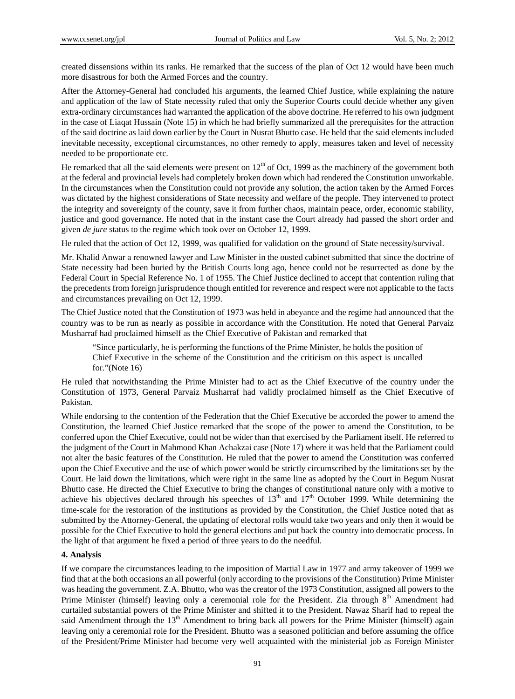created dissensions within its ranks. He remarked that the success of the plan of Oct 12 would have been much more disastrous for both the Armed Forces and the country.

After the Attorney-General had concluded his arguments, the learned Chief Justice, while explaining the nature and application of the law of State necessity ruled that only the Superior Courts could decide whether any given extra-ordinary circumstances had warranted the application of the above doctrine. He referred to his own judgment in the case of Liaqat Hussain (Note 15) in which he had briefly summarized all the prerequisites for the attraction of the said doctrine as laid down earlier by the Court in Nusrat Bhutto case. He held that the said elements included inevitable necessity, exceptional circumstances, no other remedy to apply, measures taken and level of necessity needed to be proportionate etc.

He remarked that all the said elements were present on  $12<sup>th</sup>$  of Oct, 1999 as the machinery of the government both at the federal and provincial levels had completely broken down which had rendered the Constitution unworkable. In the circumstances when the Constitution could not provide any solution, the action taken by the Armed Forces was dictated by the highest considerations of State necessity and welfare of the people. They intervened to protect the integrity and sovereignty of the county, save it from further chaos, maintain peace, order, economic stability, justice and good governance. He noted that in the instant case the Court already had passed the short order and given *de jure* status to the regime which took over on October 12, 1999.

He ruled that the action of Oct 12, 1999, was qualified for validation on the ground of State necessity/survival.

Mr. Khalid Anwar a renowned lawyer and Law Minister in the ousted cabinet submitted that since the doctrine of State necessity had been buried by the British Courts long ago, hence could not be resurrected as done by the Federal Court in Special Reference No. 1 of 1955. The Chief Justice declined to accept that contention ruling that the precedents from foreign jurisprudence though entitled for reverence and respect were not applicable to the facts and circumstances prevailing on Oct 12, 1999.

The Chief Justice noted that the Constitution of 1973 was held in abeyance and the regime had announced that the country was to be run as nearly as possible in accordance with the Constitution. He noted that General Parvaiz Musharraf had proclaimed himself as the Chief Executive of Pakistan and remarked that

"Since particularly, he is performing the functions of the Prime Minister, he holds the position of Chief Executive in the scheme of the Constitution and the criticism on this aspect is uncalled for."(Note 16)

He ruled that notwithstanding the Prime Minister had to act as the Chief Executive of the country under the Constitution of 1973, General Parvaiz Musharraf had validly proclaimed himself as the Chief Executive of Pakistan.

While endorsing to the contention of the Federation that the Chief Executive be accorded the power to amend the Constitution, the learned Chief Justice remarked that the scope of the power to amend the Constitution, to be conferred upon the Chief Executive, could not be wider than that exercised by the Parliament itself. He referred to the judgment of the Court in Mahmood Khan Achakzai case (Note 17) where it was held that the Parliament could not alter the basic features of the Constitution. He ruled that the power to amend the Constitution was conferred upon the Chief Executive and the use of which power would be strictly circumscribed by the limitations set by the Court. He laid down the limitations, which were right in the same line as adopted by the Court in Begum Nusrat Bhutto case. He directed the Chief Executive to bring the changes of constitutional nature only with a motive to achieve his objectives declared through his speeches of  $13<sup>th</sup>$  and  $17<sup>th</sup>$  October 1999. While determining the time-scale for the restoration of the institutions as provided by the Constitution, the Chief Justice noted that as submitted by the Attorney-General, the updating of electoral rolls would take two years and only then it would be possible for the Chief Executive to hold the general elections and put back the country into democratic process. In the light of that argument he fixed a period of three years to do the needful.

# **4. Analysis**

If we compare the circumstances leading to the imposition of Martial Law in 1977 and army takeover of 1999 we find that at the both occasions an all powerful (only according to the provisions of the Constitution) Prime Minister was heading the government. Z.A. Bhutto, who was the creator of the 1973 Constitution, assigned all powers to the Prime Minister (himself) leaving only a ceremonial role for the President. Zia through 8<sup>th</sup> Amendment had curtailed substantial powers of the Prime Minister and shifted it to the President. Nawaz Sharif had to repeal the said Amendment through the 13<sup>th</sup> Amendment to bring back all powers for the Prime Minister (himself) again leaving only a ceremonial role for the President. Bhutto was a seasoned politician and before assuming the office of the President/Prime Minister had become very well acquainted with the ministerial job as Foreign Minister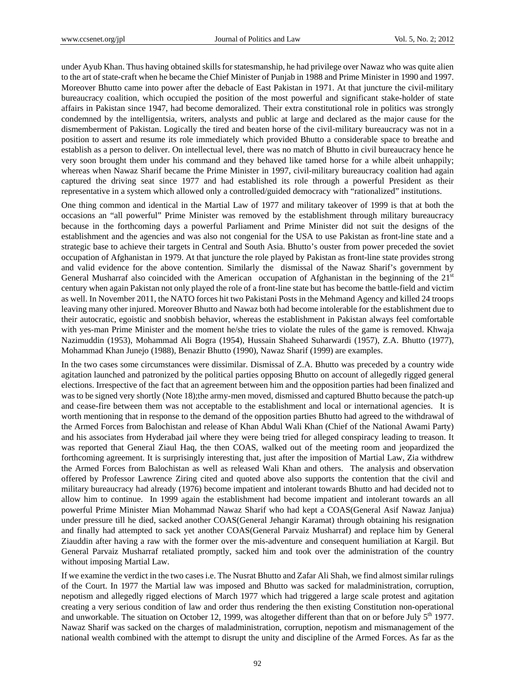under Ayub Khan. Thus having obtained skills for statesmanship, he had privilege over Nawaz who was quite alien to the art of state-craft when he became the Chief Minister of Punjab in 1988 and Prime Minister in 1990 and 1997. Moreover Bhutto came into power after the debacle of East Pakistan in 1971. At that juncture the civil-military bureaucracy coalition, which occupied the position of the most powerful and significant stake-holder of state affairs in Pakistan since 1947, had become demoralized. Their extra constitutional role in politics was strongly condemned by the intelligentsia, writers, analysts and public at large and declared as the major cause for the dismemberment of Pakistan. Logically the tired and beaten horse of the civil-military bureaucracy was not in a position to assert and resume its role immediately which provided Bhutto a considerable space to breathe and establish as a person to deliver. On intellectual level, there was no match of Bhutto in civil bureaucracy hence he very soon brought them under his command and they behaved like tamed horse for a while albeit unhappily; whereas when Nawaz Sharif became the Prime Minister in 1997, civil-military bureaucracy coalition had again captured the driving seat since 1977 and had established its role through a powerful President as their representative in a system which allowed only a controlled/guided democracy with "rationalized" institutions.

One thing common and identical in the Martial Law of 1977 and military takeover of 1999 is that at both the occasions an "all powerful" Prime Minister was removed by the establishment through military bureaucracy because in the forthcoming days a powerful Parliament and Prime Minister did not suit the designs of the establishment and the agencies and was also not congenial for the USA to use Pakistan as front-line state and a strategic base to achieve their targets in Central and South Asia. Bhutto's ouster from power preceded the soviet occupation of Afghanistan in 1979. At that juncture the role played by Pakistan as front-line state provides strong and valid evidence for the above contention. Similarly the dismissal of the Nawaz Sharif's government by General Musharraf also coincided with the American occupation of Afghanistan in the beginning of the  $21<sup>st</sup>$ century when again Pakistan not only played the role of a front-line state but has become the battle-field and victim as well. In November 2011, the NATO forces hit two Pakistani Posts in the Mehmand Agency and killed 24 troops leaving many other injured. Moreover Bhutto and Nawaz both had become intolerable for the establishment due to their autocratic, egoistic and snobbish behavior, whereas the establishment in Pakistan always feel comfortable with yes-man Prime Minister and the moment he/she tries to violate the rules of the game is removed. Khwaja Nazimuddin (1953), Mohammad Ali Bogra (1954), Hussain Shaheed Suharwardi (1957), Z.A. Bhutto (1977), Mohammad Khan Junejo (1988), Benazir Bhutto (1990), Nawaz Sharif (1999) are examples.

In the two cases some circumstances were dissimilar. Dismissal of Z.A. Bhutto was preceded by a country wide agitation launched and patronized by the political parties opposing Bhutto on account of allegedly rigged general elections. Irrespective of the fact that an agreement between him and the opposition parties had been finalized and was to be signed very shortly (Note 18);the army-men moved, dismissed and captured Bhutto because the patch-up and cease-fire between them was not acceptable to the establishment and local or international agencies. It is worth mentioning that in response to the demand of the opposition parties Bhutto had agreed to the withdrawal of the Armed Forces from Balochistan and release of Khan Abdul Wali Khan (Chief of the National Awami Party) and his associates from Hyderabad jail where they were being tried for alleged conspiracy leading to treason. It was reported that General Ziaul Haq, the then COAS, walked out of the meeting room and jeopardized the forthcoming agreement. It is surprisingly interesting that, just after the imposition of Martial Law, Zia withdrew the Armed Forces from Balochistan as well as released Wali Khan and others. The analysis and observation offered by Professor Lawrence Ziring cited and quoted above also supports the contention that the civil and military bureaucracy had already (1976) become impatient and intolerant towards Bhutto and had decided not to allow him to continue. In 1999 again the establishment had become impatient and intolerant towards an all powerful Prime Minister Mian Mohammad Nawaz Sharif who had kept a COAS(General Asif Nawaz Janjua) under pressure till he died, sacked another COAS(General Jehangir Karamat) through obtaining his resignation and finally had attempted to sack yet another COAS(General Parvaiz Musharraf) and replace him by General Ziauddin after having a raw with the former over the mis-adventure and consequent humiliation at Kargil. But General Parvaiz Musharraf retaliated promptly, sacked him and took over the administration of the country without imposing Martial Law.

If we examine the verdict in the two cases i.e. The Nusrat Bhutto and Zafar Ali Shah, we find almost similar rulings of the Court. In 1977 the Martial law was imposed and Bhutto was sacked for maladministration, corruption, nepotism and allegedly rigged elections of March 1977 which had triggered a large scale protest and agitation creating a very serious condition of law and order thus rendering the then existing Constitution non-operational and unworkable. The situation on October 12, 1999, was altogether different than that on or before July  $5<sup>th</sup> 1977$ . Nawaz Sharif was sacked on the charges of maladministration, corruption, nepotism and mismanagement of the national wealth combined with the attempt to disrupt the unity and discipline of the Armed Forces. As far as the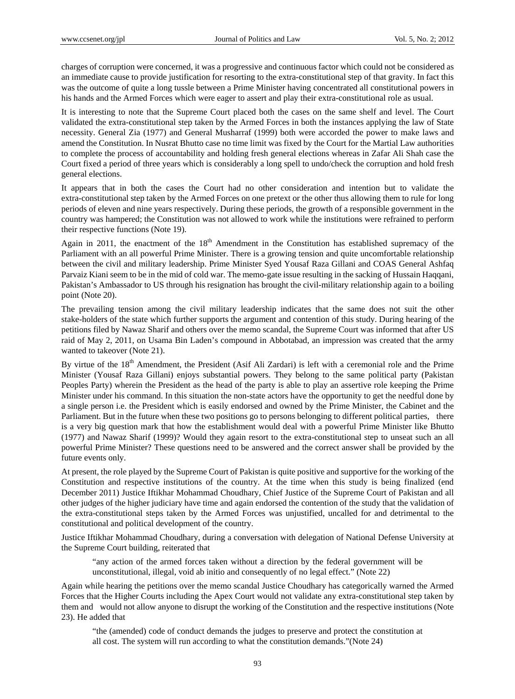charges of corruption were concerned, it was a progressive and continuous factor which could not be considered as an immediate cause to provide justification for resorting to the extra-constitutional step of that gravity. In fact this was the outcome of quite a long tussle between a Prime Minister having concentrated all constitutional powers in his hands and the Armed Forces which were eager to assert and play their extra-constitutional role as usual.

It is interesting to note that the Supreme Court placed both the cases on the same shelf and level. The Court validated the extra-constitutional step taken by the Armed Forces in both the instances applying the law of State necessity. General Zia (1977) and General Musharraf (1999) both were accorded the power to make laws and amend the Constitution. In Nusrat Bhutto case no time limit was fixed by the Court for the Martial Law authorities to complete the process of accountability and holding fresh general elections whereas in Zafar Ali Shah case the Court fixed a period of three years which is considerably a long spell to undo/check the corruption and hold fresh general elections.

It appears that in both the cases the Court had no other consideration and intention but to validate the extra-constitutional step taken by the Armed Forces on one pretext or the other thus allowing them to rule for long periods of eleven and nine years respectively. During these periods, the growth of a responsible government in the country was hampered; the Constitution was not allowed to work while the institutions were refrained to perform their respective functions (Note 19).

Again in 2011, the enactment of the  $18<sup>th</sup>$  Amendment in the Constitution has established supremacy of the Parliament with an all powerful Prime Minister. There is a growing tension and quite uncomfortable relationship between the civil and military leadership. Prime Minister Syed Yousaf Raza Gillani and COAS General Ashfaq Parvaiz Kiani seem to be in the mid of cold war. The memo-gate issue resulting in the sacking of Hussain Haqqani, Pakistan's Ambassador to US through his resignation has brought the civil-military relationship again to a boiling point (Note 20).

The prevailing tension among the civil military leadership indicates that the same does not suit the other stake-holders of the state which further supports the argument and contention of this study. During hearing of the petitions filed by Nawaz Sharif and others over the memo scandal, the Supreme Court was informed that after US raid of May 2, 2011, on Usama Bin Laden's compound in Abbotabad, an impression was created that the army wanted to takeover (Note 21).

By virtue of the 18<sup>th</sup> Amendment, the President (Asif Ali Zardari) is left with a ceremonial role and the Prime Minister (Yousaf Raza Gillani) enjoys substantial powers. They belong to the same political party (Pakistan Peoples Party) wherein the President as the head of the party is able to play an assertive role keeping the Prime Minister under his command. In this situation the non-state actors have the opportunity to get the needful done by a single person i.e. the President which is easily endorsed and owned by the Prime Minister, the Cabinet and the Parliament. But in the future when these two positions go to persons belonging to different political parties, there is a very big question mark that how the establishment would deal with a powerful Prime Minister like Bhutto (1977) and Nawaz Sharif (1999)? Would they again resort to the extra-constitutional step to unseat such an all powerful Prime Minister? These questions need to be answered and the correct answer shall be provided by the future events only.

At present, the role played by the Supreme Court of Pakistan is quite positive and supportive for the working of the Constitution and respective institutions of the country. At the time when this study is being finalized (end December 2011) Justice Iftikhar Mohammad Choudhary, Chief Justice of the Supreme Court of Pakistan and all other judges of the higher judiciary have time and again endorsed the contention of the study that the validation of the extra-constitutional steps taken by the Armed Forces was unjustified, uncalled for and detrimental to the constitutional and political development of the country.

Justice Iftikhar Mohammad Choudhary, during a conversation with delegation of National Defense University at the Supreme Court building, reiterated that

"any action of the armed forces taken without a direction by the federal government will be unconstitutional, illegal, void ab initio and consequently of no legal effect." (Note 22)

Again while hearing the petitions over the memo scandal Justice Choudhary has categorically warned the Armed Forces that the Higher Courts including the Apex Court would not validate any extra-constitutional step taken by them and would not allow anyone to disrupt the working of the Constitution and the respective institutions (Note 23). He added that

"the (amended) code of conduct demands the judges to preserve and protect the constitution at all cost. The system will run according to what the constitution demands."(Note 24)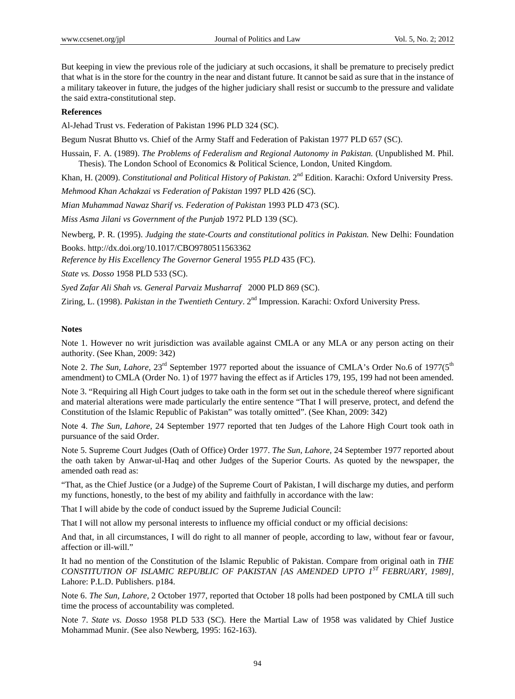But keeping in view the previous role of the judiciary at such occasions, it shall be premature to precisely predict that what is in the store for the country in the near and distant future. It cannot be said as sure that in the instance of a military takeover in future, the judges of the higher judiciary shall resist or succumb to the pressure and validate the said extra-constitutional step.

## **References**

Al-Jehad Trust vs. Federation of Pakistan 1996 PLD 324 (SC).

Begum Nusrat Bhutto vs. Chief of the Army Staff and Federation of Pakistan 1977 PLD 657 (SC).

Hussain, F. A. (1989). *The Problems of Federalism and Regional Autonomy in Pakistan.* (Unpublished M. Phil. Thesis). The London School of Economics & Political Science, London, United Kingdom.

Khan, H. (2009). *Constitutional and Political History of Pakistan.* 2nd Edition. Karachi: Oxford University Press.

*Mehmood Khan Achakzai vs Federation of Pakistan* 1997 PLD 426 (SC).

*Mian Muhammad Nawaz Sharif vs. Federation of Pakistan* 1993 PLD 473 (SC).

*Miss Asma Jilani vs Government of the Punjab* 1972 PLD 139 (SC).

Newberg, P. R. (1995). *Judging the state-Courts and constitutional politics in Pakistan.* New Delhi: Foundation Books. http://dx.doi.org/10.1017/CBO9780511563362

*Reference by His Excellency The Governor General* 1955 *PLD* 435 (FC).

*State vs. Dosso* 1958 PLD 533 (SC).

*Syed Zafar Ali Shah vs. General Parvaiz Musharraf* 2000 PLD 869 (SC).

Ziring, L. (1998). *Pakistan in the Twentieth Century*. 2nd Impression. Karachi: Oxford University Press.

## **Notes**

Note 1. However no writ jurisdiction was available against CMLA or any MLA or any person acting on their authority. (See Khan, 2009: 342)

Note 2. *The Sun, Lahore*, 23<sup>rd</sup> September 1977 reported about the issuance of CMLA's Order No.6 of 1977(5<sup>th</sup> amendment) to CMLA (Order No. 1) of 1977 having the effect as if Articles 179, 195, 199 had not been amended.

Note 3. "Requiring all High Court judges to take oath in the form set out in the schedule thereof where significant and material alterations were made particularly the entire sentence "That I will preserve, protect, and defend the Constitution of the Islamic Republic of Pakistan" was totally omitted". (See Khan, 2009: 342)

Note 4. *The Sun, Lahore,* 24 September 1977 reported that ten Judges of the Lahore High Court took oath in pursuance of the said Order.

Note 5. Supreme Court Judges (Oath of Office) Order 1977. *The Sun, Lahore,* 24 September 1977 reported about the oath taken by Anwar-ul-Haq and other Judges of the Superior Courts. As quoted by the newspaper, the amended oath read as:

"That, as the Chief Justice (or a Judge) of the Supreme Court of Pakistan, I will discharge my duties, and perform my functions, honestly, to the best of my ability and faithfully in accordance with the law:

That I will abide by the code of conduct issued by the Supreme Judicial Council:

That I will not allow my personal interests to influence my official conduct or my official decisions:

And that, in all circumstances, I will do right to all manner of people, according to law, without fear or favour, affection or ill-will."

It had no mention of the Constitution of the Islamic Republic of Pakistan. Compare from original oath in *THE CONSTITUTION OF ISLAMIC REPUBLIC OF PAKISTAN [AS AMENDED UPTO 1ST FEBRUARY, 1989],*  Lahore: P.L.D. Publishers. p184.

Note 6. *The Sun, Lahore,* 2 October 1977, reported that October 18 polls had been postponed by CMLA till such time the process of accountability was completed.

Note 7. *State vs. Dosso* 1958 PLD 533 (SC). Here the Martial Law of 1958 was validated by Chief Justice Mohammad Munir. (See also Newberg, 1995: 162-163).